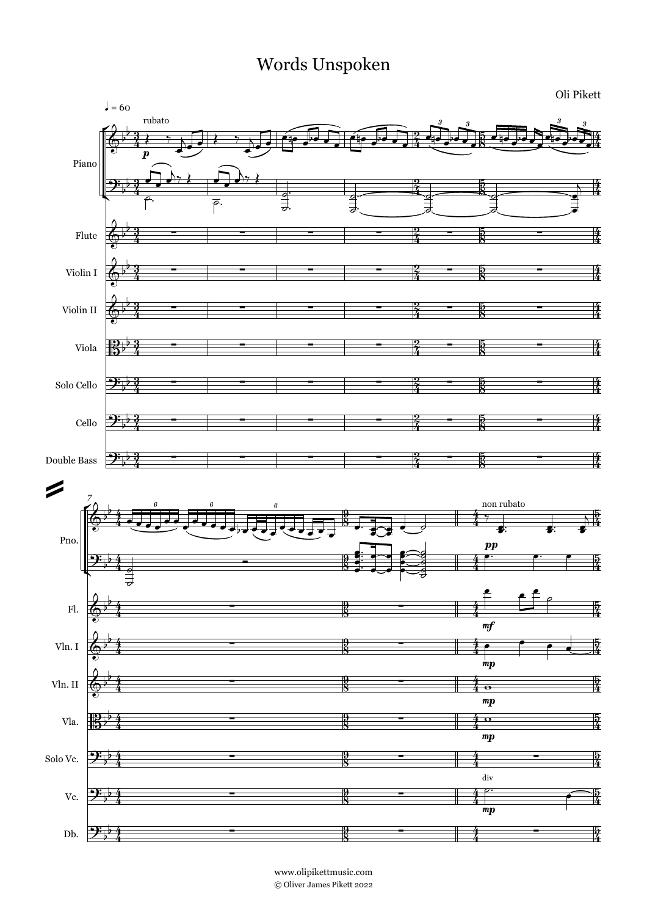## Words Unspoken

Oli Pikett

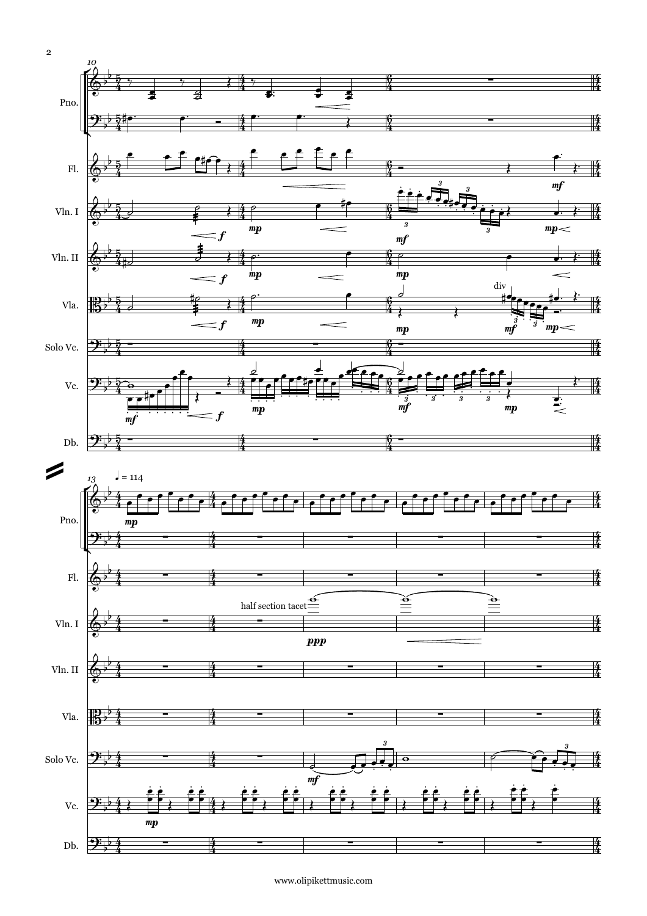

2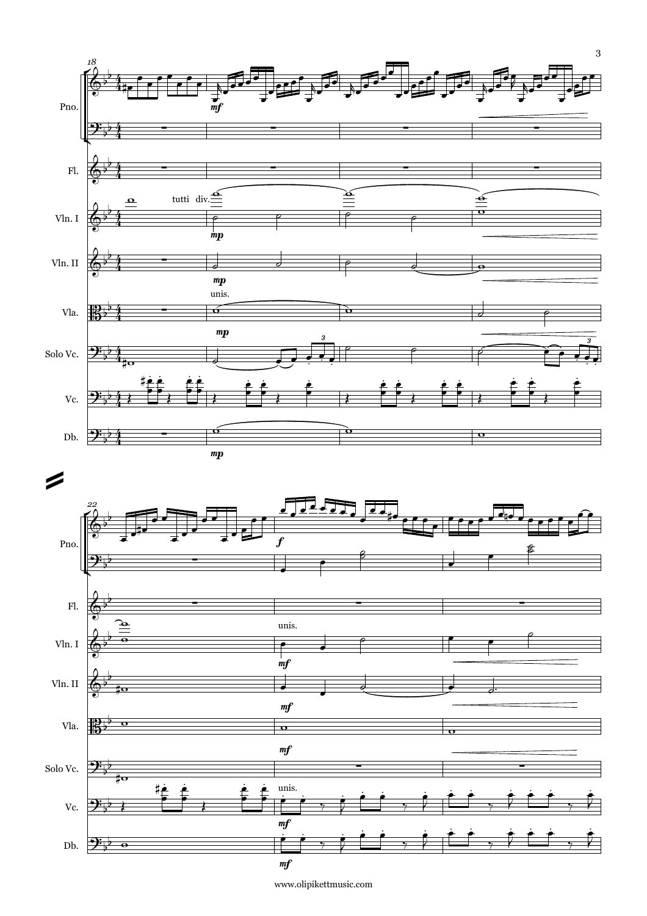



www.olipikettmusic.com

3